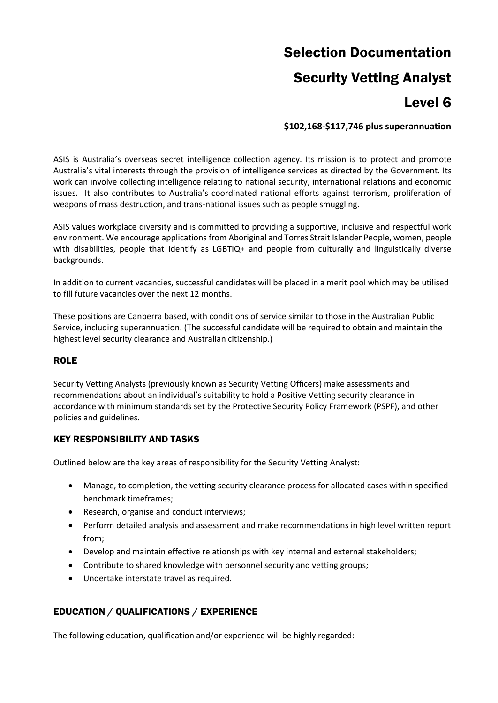# Selection Documentation Security Vetting Analyst Level 6

**\$102,168-\$117,746 plus superannuation**

ASIS is Australia's overseas secret intelligence collection agency. Its mission is to protect and promote Australia's vital interests through the provision of intelligence services as directed by the Government. Its work can involve collecting intelligence relating to national security, international relations and economic issues. It also contributes to Australia's coordinated national efforts against terrorism, proliferation of weapons of mass destruction, and trans-national issues such as people smuggling.

ASIS values workplace diversity and is committed to providing a supportive, inclusive and respectful work environment. We encourage applications from Aboriginal and Torres Strait Islander People, women, people with disabilities, people that identify as LGBTIQ+ and people from culturally and linguistically diverse backgrounds.

In addition to current vacancies, successful candidates will be placed in a merit pool which may be utilised to fill future vacancies over the next 12 months.

These positions are Canberra based, with conditions of service similar to those in the Australian Public Service, including superannuation. (The successful candidate will be required to obtain and maintain the highest level security clearance and Australian citizenship.)

# **ROLE**

Security Vetting Analysts (previously known as Security Vetting Officers) make assessments and recommendations about an individual's suitability to hold a Positive Vetting security clearance in accordance with minimum standards set by the Protective Security Policy Framework (PSPF), and other policies and guidelines.

# KEY RESPONSIBILITY AND TASKS

Outlined below are the key areas of responsibility for the Security Vetting Analyst:

- Manage, to completion, the vetting security clearance process for allocated cases within specified benchmark timeframes;
- Research, organise and conduct interviews;
- Perform detailed analysis and assessment and make recommendations in high level written report from;
- Develop and maintain effective relationships with key internal and external stakeholders;
- Contribute to shared knowledge with personnel security and vetting groups;
- Undertake interstate travel as required.

# EDUCATION / QUALIFICATIONS / EXPERIENCE

The following education, qualification and/or experience will be highly regarded: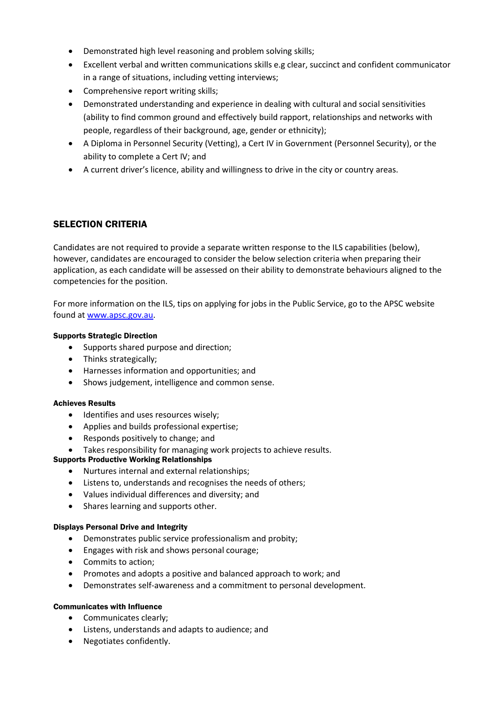- Demonstrated high level reasoning and problem solving skills;
- Excellent verbal and written communications skills e.g clear, succinct and confident communicator in a range of situations, including vetting interviews;
- Comprehensive report writing skills;
- Demonstrated understanding and experience in dealing with cultural and social sensitivities (ability to find common ground and effectively build rapport, relationships and networks with people, regardless of their background, age, gender or ethnicity);
- A Diploma in Personnel Security (Vetting), a Cert IV in Government (Personnel Security), or the ability to complete a Cert IV; and
- A current driver's licence, ability and willingness to drive in the city or country areas.

# SELECTION CRITERIA

Candidates are not required to provide a separate written response to the ILS capabilities (below), however, candidates are encouraged to consider the below selection criteria when preparing their application, as each candidate will be assessed on their ability to demonstrate behaviours aligned to the competencies for the position.

For more information on the ILS, tips on applying for jobs in the Public Service, go to the APSC website found at [www.apsc.gov.au.](http://www.apsc.gov.au/)

#### Supports Strategic Direction

- Supports shared purpose and direction;
- Thinks strategically;
- Harnesses information and opportunities; and
- Shows judgement, intelligence and common sense.

#### Achieves Results

- Identifies and uses resources wisely;
- Applies and builds professional expertise;
- Responds positively to change; and
- Takes responsibility for managing work projects to achieve results.

#### Supports Productive Working Relationships

- Nurtures internal and external relationships;
- Listens to, understands and recognises the needs of others;
- Values individual differences and diversity; and
- Shares learning and supports other.

#### Displays Personal Drive and Integrity

- Demonstrates public service professionalism and probity;
- Engages with risk and shows personal courage;
- Commits to action;
- Promotes and adopts a positive and balanced approach to work; and
- Demonstrates self-awareness and a commitment to personal development.

#### Communicates with Influence

- Communicates clearly;
- Listens, understands and adapts to audience; and
- Negotiates confidently.